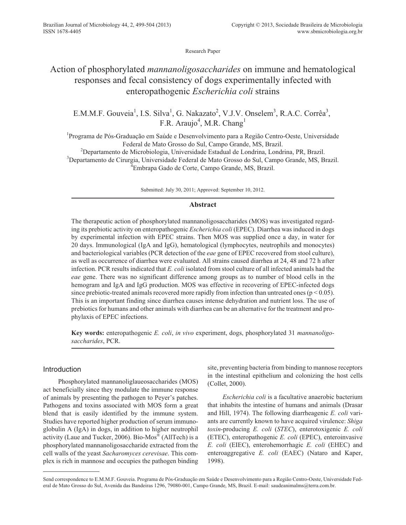Research Paper

# Action of phosphorylated *mannanoligosaccharides* on immune and hematological responses and fecal consistency of dogs experimentally infected with enteropathogenic *Escherichia coli* strains

E.M.M.F. Gouveia<sup>1</sup>, I.S. Silva<sup>1</sup>, G. Nakazato<sup>2</sup>, V.J.V. Onselem<sup>3</sup>, R.A.C. Corrêa<sup>3</sup>, F.R. Araujo<sup>4</sup>, M.R. Chang<sup>1</sup>

<sup>1</sup>Programa de Pós-Graduação em Saúde e Desenvolvimento para a Região Centro-Oeste, Universidade Federal de Mato Grosso do Sul, Campo Grande, MS, Brazil.

<sup>2</sup>Departamento de Microbiologia, Universidade Estadual de Londrina, Londrina, PR, Brazil. <sup>3</sup>Departamento de Cirurgia, Universidade Federal de Mato Grosso do Sul, Campo Grande, MS, Brazil. 4 Embrapa Gado de Corte, Campo Grande, MS, Brazil.

Submitted: July 30, 2011; Approved: September 10, 2012.

## **Abstract**

The therapeutic action of phosphorylated mannanoligosaccharides (MOS) was investigated regarding its prebiotic activity on enteropathogenic *Escherichia coli* (EPEC). Diarrhea was induced in dogs by experimental infection with EPEC strains. Then MOS was supplied once a day, in water for 20 days. Immunological (IgA and IgG), hematological (lymphocytes, neutrophils and monocytes) and bacteriological variables (PCR detection of the *eae* gene of EPEC recovered from stool culture), as well as occurrence of diarrhea were evaluated. All strains caused diarrhea at 24, 48 and 72 h after infection. PCR results indicated that *E. coli* isolated from stool culture of all infected animals had the *eae* gene. There was no significant difference among groups as to number of blood cells in the hemogram and IgA and IgG production. MOS was effective in recovering of EPEC-infected dogs since prebiotic-treated animals recovered more rapidly from infection than untreated ones ( $p < 0.05$ ). This is an important finding since diarrhea causes intense dehydration and nutrient loss. The use of prebiotics for humans and other animals with diarrhea can be an alternative for the treatment and prophylaxis of EPEC infections.

**Key words:** enteropathogenic *E. coli*, *in vivo* experiment, dogs, phosphorylated 31 *mannanoligosaccharides*, PCR.

## Introduction

Phosphorylated mannanoliglaueosaccharides (MOS) act beneficially since they modulate the immune response of animals by presenting the pathogen to Peyer's patches. Pathogens and toxins associated with MOS form a great blend that is easily identified by the immune system. Studies have reported higher production of serum immunoglobulin A (IgA) in dogs, in addition to higher neutrophil activity (Laue and Tucker, 2006). Bio-Mos<sup>®</sup> (AllTech) is a phosphorylated mannanoligosaccharide extracted from the cell walls of the yeast *Sacharomyces cerevisae*. This complex is rich in mannose and occupies the pathogen binding site, preventing bacteria from binding to mannose receptors in the intestinal epithelium and colonizing the host cells (Collet, 2000).

*Escherichia coli* is a facultative anaerobic bacterium that inhabits the intestine of humans and animals (Drasar and Hill, 1974). The following diarrheagenic *E. coli* variants are currently known to have acquired virulence: *Shiga toxin*-producing *E. coli* (*STEC*), enterotoxigenic *E. coli* (ETEC), enteropathogenic *E. coli* (EPEC), enteroinvasive *E. coli* (EIEC), enterohemorrhagic *E. coli* (EHEC) and enteroaggregative *E. coli* (EAEC) (Nataro and Kaper, 1998).

Send correspondence to E.M.M.F. Gouveia. Programa de Pós-Graduação em Saúde e Desenvolvimento para a Região Centro-Oeste, Universidade Federal de Mato Grosso do Sul, Avenida das Bandeiras 1296, 79080-001, Campo Grande, MS, Brazil. E-mail: saudeanimalms@terra.com.br.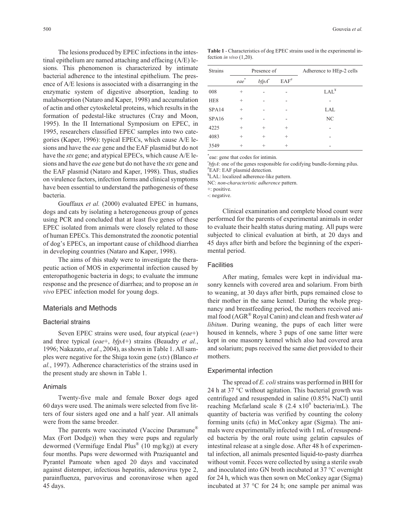The lesions produced by EPEC infections in the intestinal epithelium are named attaching and effacing (A/E) lesions. This phenomenon is characterized by intimate bacterial adherence to the intestinal epithelium. The presence of A/E lesions is associated with a disarranging in the enzymatic system of digestive absorption, leading to malabsorption (Nataro and Kaper, 1998) and accumulation of actin and other cytoskeletal proteins, which results in the formation of pedestal-like structures (Cray and Moon, 1995). In the II International Symposium on EPEC, in 1995, researchers classified EPEC samples into two categories (Kaper, 1996): typical EPECs, which cause A/E lesions and have the *eae* gene and the EAF plasmid but do not have the *stx* gene; and atypical EPECs, which cause A/E lesions and have the *eae* gene but do not have the *stx* gene and the EAF plasmid (Nataro and Kaper, 1998). Thus, studies on virulence factors, infection forms and clinical symptoms have been essential to understand the pathogenesis of these bacteria.

Gouffaux *et al.* (2000) evaluated EPEC in humans, dogs and cats by isolating a heterogeneous group of genes using PCR and concluded that at least five genes of these EPEC isolated from animals were closely related to those of human EPECs. This demonstrated the zoonotic potential of dog's EPECs, an important cause of childhood diarrhea in developing countries (Nataro and Kaper, 1998).

The aims of this study were to investigate the therapeutic action of MOS in experimental infection caused by enteropathogenic bacteria in dogs; to evaluate the immune response and the presence of diarrhea; and to propose an *in vivo* EPEC infection model for young dogs.

## Materials and Methods

#### Bacterial strains

Seven EPEC strains were used, four atypical (*eae*+) and three typical (*eae*+, *bfpA*+) strains (Beaudry *et al.*, 1996; Nakazato, *et al.*, 2004), as shown in Table 1. All samples were negative for the Shiga toxin gene (*stx*) (Blanco *et al.*, 1997). Adherence characteristics of the strains used in the present study are shown in Table 1.

#### Animals

Twenty-five male and female Boxer dogs aged 60 days were used. The animals were selected from five litters of four sisters aged one and a half year. All animals were from the same breeder.

The parents were vaccinated (Vaccine Duramune® Max (Fort Dodge)) when they were pups and regularly dewormed (Vermifuge Endal Plus<sup>®</sup> (10 mg/kg)) at every four months. Pups were dewormed with Praziquantel and Pyrantel Pamoate when aged 20 days and vaccinated against distemper, infectious hepatitis, adenovirus type 2, parainfluenza, parvovirus and coronavirose when aged 45 days.

**Table 1** - Characteristics of dog EPEC strains used in the experimental infection *in vivo* (1,20).

| <b>Strains</b>  | Presence of |                      |                    | Adherence to HEp-2 cells |  |
|-----------------|-------------|----------------------|--------------------|--------------------------|--|
|                 | eae         | $b$ fp $A^{\dagger}$ | $EAF$ <sup>#</sup> |                          |  |
| 008             | $^{+}$      |                      |                    | $LAL^*$                  |  |
| HE <sub>8</sub> | $\,+\,$     |                      |                    |                          |  |
| SPA14           | $\,+\,$     |                      |                    | LAL                      |  |
| SPA16           | $^{+}$      |                      |                    | NC                       |  |
| 4225            | $^{+}$      | $^{+}$               | $^{+}$             |                          |  |
| 4083            | $^{+}$      | $^{+}$               | $^{+}$             |                          |  |
| 3549            | $\div$      | $^{+}$               | $^{+}$             |                          |  |

\* eae: gene that codes for intimin.

bfpA: one of the genes responsible for codifying bundle-forming pilus. # EAF: EAF plasmid detection.

¥ LAL: localized adherence-like pattern.

NC: *non*-*characteristic adherence* pattern.

+: positive.

-: negative.

Clinical examination and complete blood count were performed for the parents of experimental animals in order to evaluate their health status during mating. All pups were subjected to clinical evaluation at birth, at 20 days and 45 days after birth and before the beginning of the experimental period.

#### **Facilities**

After mating, females were kept in individual masonry kennels with covered area and solarium. From birth to weaning, at 30 days after birth, pups remained close to their mother in the same kennel. During the whole pregnancy and breastfeeding period, the mothers received animal food (AGR® Royal Canin) and clean and fresh water *ad libitum*. During weaning, the pups of each litter were housed in kennels, where 3 pups of one same litter were kept in one masonry kennel which also had covered area and solarium; pups received the same diet provided to their mothers.

#### Experimental infection

The spread of *E. coli*strains was performed in BHI for 24 h at 37 °C without agitation. This bacterial growth was centrifuged and resuspended in saline (0.85% NaCl) until reaching Mcfarland scale 8 (2.4  $x10<sup>9</sup>$  bacteria/mL). The quantity of bacteria was verified by counting the colony forming units (cfu) in McConkey agar (Sigma). The animals were experimentally infected with 1 mL of resuspended bacteria by the oral route using gelatin capsules of intestinal release at a single dose. After 48 h of experimental infection, all animals presented liquid-to-pasty diarrhea without vomit. Feces were collected by using a sterile swab and inoculated into GN broth incubated at 37 °C overnight for 24 h, which was then sown on McConkey agar (Sigma) incubated at 37 °C for 24 h; one sample per animal was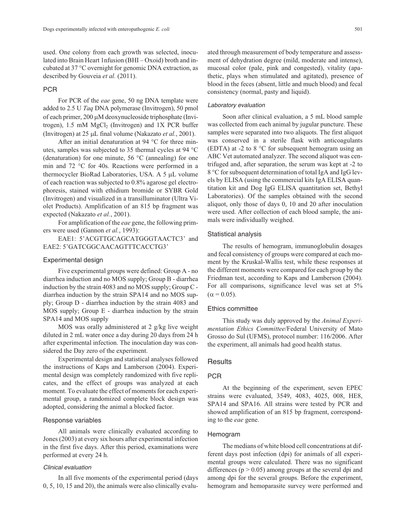used. One colony from each growth was selected, inoculated into Brain Heart 1nfusion (BHI – Oxoid) broth and incubated at 37 °C overnight for genomic DNA extraction, as described by Gouveia *et al.* (2011).

## PCR

For PCR of the *eae* gene, 50 ng DNA template were added to 2.5 U *Taq* DNA polymerase (Invitrogen), 50 pmol of each primer, 200 µM deoxynucleoside triphosphate (Invitrogen),  $1.5 \text{ mM } MgCl<sub>2</sub>$  (Invitrogen) and  $1X$  PCR buffer (Invitrogen) at 25 µL final volume (Nakazato *et al.*, 2001).

After an initial denaturation at 94 °C for three minutes, samples was subjected to 35 thermal cycles at 94 °C (denaturation) for one minute,  $56 °C$  (annealing) for one min and 72 °C for 40s. Reactions were performed in a thermocycler BioRad Laboratories, USA. A 5 µL volume of each reaction was subjected to 0.8% agarose gel electrophoresis, stained with ethidium bromide or SYBR Gold (Invitrogen) and visualized in a transilluminator (Ultra Violet Products). Amplification of an 815 bp fragment was expected (Nakazato *et al.*, 2001).

For amplification of the *eae* gene, the following primers were used (Gannon *et al.*, 1993):

EAE1: 5'ACGTTGCAGCATGGGTAACTC3' and EAE2: 5'GATCGGCAACAGTTTCACCTG3'

#### Experimental design

Five experimental groups were defined: Group A - no diarrhea induction and no MOS supply; Group B - diarrhea induction by the strain 4083 and no MOS supply; Group C diarrhea induction by the strain SPA14 and no MOS supply; Group D - diarrhea induction by the strain 4083 and MOS supply; Group E - diarrhea induction by the strain SPA14 and MOS supply

MOS was orally administered at 2 g/kg live weight diluted in 2 mL water once a day during 20 days from 24 h after experimental infection. The inoculation day was considered the Day zero of the experiment.

Experimental design and statistical analyses followed the instructions of Kaps and Lamberson (2004). Experimental design was completely randomized with five replicates, and the effect of groups was analyzed at each moment. To evaluate the effect of moments for each experimental group, a randomized complete block design was adopted, considering the animal a blocked factor.

#### Response variables

All animals were clinically evaluated according to Jones (2003) at every six hours after experimental infection in the first five days. After this period, examinations were performed at every 24 h.

## Clinical evaluation

In all five moments of the experimental period (days 0, 5, 10, 15 and 20), the animals were also clinically evaluated through measurement of body temperature and assessment of dehydration degree (mild, moderate and intense), mucosal color (pale, pink and congested), vitality (apathetic, plays when stimulated and agitated), presence of blood in the feces (absent, little and much blood) and fecal consistency (normal, pasty and liquid).

## Laboratory evaluation

Soon after clinical evaluation, a 5 mL blood sample was collected from each animal by jugular puncture. These samples were separated into two aliquots. The first aliquot was conserved in a sterile flask with anticoagulants (EDTA) at -2 to 8 °C for subsequent hemogram using an ABC Vet automated analyzer. The second aliquot was centrifuged and, after separation, the serum was kept at -2 to 8 °C for subsequent determination of total IgA and IgG levels by ELISA (using the commercial kits IgA ELISA quantitation kit and Dog IgG ELISA quantitation set, Bethyl Laboratories). Of the samples obtained with the second aliquot, only those of days 0, 10 and 20 after inoculation were used. After collection of each blood sample, the animals were individually weighed.

#### Statistical analysis

The results of hemogram, immunoglobulin dosages and fecal consistency of groups were compared at each moment by the Kruskal-Wallis test, while these responses at the different moments were compared for each group by the Friedman test, according to Kaps and Lamberson (2004). For all comparisons, significance level was set at 5%  $(\alpha = 0.05)$ .

#### Ethics committee

This study was duly approved by the *Animal Experimentation Ethics Committee*/Federal University of Mato Grosso do Sul (UFMS), protocol number: 116/2006. After the experiment, all animals had good health status.

## **Results**

## PCR

At the beginning of the experiment, seven EPEC strains were evaluated, 3549, 4083, 4025, 008, HE8, SPA14 and SPA16. All strains were tested by PCR and showed amplification of an 815 bp fragment, corresponding to the *eae* gene.

## Hemogram

The medians of white blood cell concentrations at different days post infection (dpi) for animals of all experimental groups were calculated. There was no significant differences ( $p > 0.05$ ) among groups at the several dpi and among dpi for the several groups. Before the experiment, hemogram and hemoparasite survey were performed and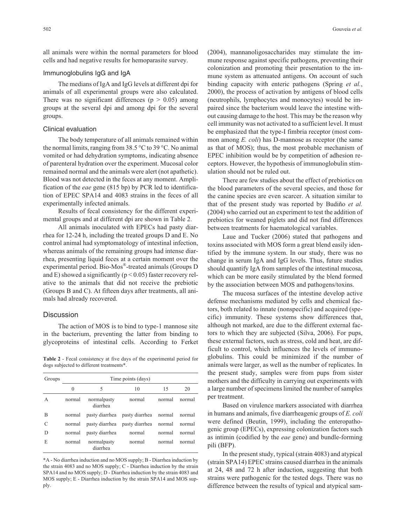all animals were within the normal parameters for blood cells and had negative results for hemoparasite survey.

## Immunoglobulins IgG and IgA

The medians of IgA and IgG levels at different dpi for animals of all experimental groups were also calculated. There was no significant differences ( $p > 0.05$ ) among groups at the several dpi and among dpi for the several groups.

### Clinical evaluation

The body temperature of all animals remained within the normal limits, ranging from  $38.5^{\circ}$ C to  $39^{\circ}$ C. No animal vomited or had dehydration symptoms, indicating absence of parenteral hydration over the experiment. Mucosal color remained normal and the animals were alert (not apathetic). Blood was not detected in the feces at any moment. Amplification of the *eae* gene (815 bp) by PCR led to identification of EPEC SPA14 and 4083 strains in the feces of all experimentally infected animals.

Results of fecal consistency for the different experimental groups and at different dpi are shown in Table 2.

All animals inoculated with EPECs had pasty diarrhea for 12-24 h, including the treated groups D and E. No control animal had symptomatology of intestinal infection, whereas animals of the remaining groups had intense diarrhea, presenting liquid feces at a certain moment over the experimental period. Bio-Mos®-treated animals (Groups D and E) showed a significantly ( $p < 0.05$ ) faster recovery relative to the animals that did not receive the prebiotic (Groups B and C). At fifteen days after treatments, all animals had already recovered.

## **Discussion**

The action of MOS is to bind to type-1 mannose site in the bacterium, preventing the latter from binding to glycoproteins of intestinal cells. According to Ferket

**Table 2** - Fecal consistency at five days of the experimental period for dogs subjected to different treatments\*.

| Groups        | Time points (days) |                         |                                      |        |        |  |  |  |
|---------------|--------------------|-------------------------|--------------------------------------|--------|--------|--|--|--|
|               | $\theta$           | 5                       | 10                                   | 15     | 20     |  |  |  |
| A             | normal             | normalpasty<br>diarrhea | normal                               | normal | normal |  |  |  |
| B             | normal             |                         | pasty diarrhea pasty diarrhea normal |        | normal |  |  |  |
| $\mathcal{C}$ | normal             |                         | pasty diarrhea pasty diarrhea normal |        | normal |  |  |  |
| D             | normal             | pasty diarrhea          | normal                               | normal | normal |  |  |  |
| E             | normal             | normalpasty<br>diarrhea | normal                               | normal | normal |  |  |  |

\*A - No diarrhea induction and no MOS supply; B - Diarrhea induction by the strain 4083 and no MOS supply; C - Diarrhea induction by the strain SPA14 and no MOS supply; D - Diarrhea induction by the strain 4083 and MOS supply; E - Diarrhea induction by the strain SPA14 and MOS supply.

(2004), mannanoligosaccharides may stimulate the immune response against specific pathogens, preventing their colonization and promoting their presentation to the immune system as attenuated antigens. On account of such binding capacity with enteric pathogens (Spring *et al.*, 2000), the process of activation by antigens of blood cells (neutrophils, lymphocytes and monocytes) would be impaired since the bacterium would leave the intestine without causing damage to the host. This may be the reason why cell immunity was not activated to a sufficient level. It must be emphasized that the type-I fimbria receptor (most common among *E. coli*) has D-mannose as receptor (the same as that of MOS); thus, the most probable mechanism of EPEC inhibition would be by competition of adhesion receptors. However, the hypothesis of immunoglobulin stimulation should not be ruled out.

There are few studies about the effect of prebiotics on the blood parameters of the several species, and those for the canine species are even scarcer. A situation similar to that of the present study was reported by Budiño *et al.* (2004) who carried out an experiment to test the addition of prebiotics for weaned piglets and did not find differences between treatments for haematological variables.

Laue and Tucker (2006) stated that pathogens and toxins associated with MOS form a great blend easily identified by the immune system. In our study, there was no change in serum IgA and IgG levels. Thus, future studies should quantify IgA from samples of the intestinal mucosa, which can be more easily stimulated by the blend formed by the association between MOS and pathogens/toxins.

The mucosa surfaces of the intestine develop active defense mechanisms mediated by cells and chemical factors, both related to innate (nonspecific) and acquired (specific) immunity. These systems show differences that, although not marked, are due to the different external factors to which they are subjected (Silva, 2006). For pups, these external factors, such as stress, cold and heat, are difficult to control, which influences the levels of immunoglobulins. This could be minimized if the number of animals were larger, as well as the number of replicates. In the present study, samples were from pups from sister mothers and the difficulty in carrying out experiments with a large number of specimens limited the number of samples per treatment.

Based on virulence markers associated with diarrhea in humans and animals, five diarrheagenic groups of *E. coli* were defined (Beutin, 1999), including the enteropathogenic group (EPECs), expressing colonization factors such as intimin (codified by the *eae* gene) and bundle-forming pili (BFP).

In the present study, typical (strain 4083) and atypical (strain SPA14) EPEC strains caused diarrhea in the animals at 24, 48 and 72 h after induction, suggesting that both strains were pathogenic for the tested dogs. There was no difference between the results of typical and atypical sam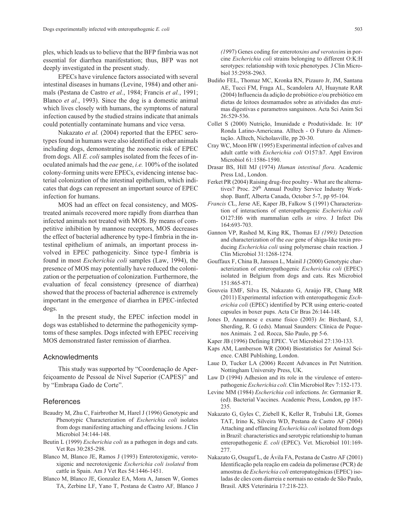ples, which leads us to believe that the BFP fimbria was not essential for diarrhea manifestation; thus, BFP was not deeply investigated in the present study.

EPECs have virulence factors associated with several intestinal diseases in humans (Levine, 1984) and other animals (Pestana de Castro *et al.*, 1984; Francis *et al.*, 1991; Blanco *et al.*, 1993). Since the dog is a domestic animal which lives closely with humans, the symptoms of natural infection caused by the studied strains indicate that animals could potentially contaminate humans and vice versa.

Nakazato *et al.* (2004) reported that the EPEC serotypes found in humans were also identified in other animals including dogs, demonstrating the zoonotic risk of EPEC from dogs. All *E. coli* samples isolated from the feces of inoculated animals had the *eae* gene, *i.e.* 100% of the isolated colony-forming units were EPECs, evidencing intense bacterial colonization of the intestinal epithelium, which indicates that dogs can represent an important source of EPEC infection for humans.

MOS had an effect on fecal consistency, and MOStreated animals recovered more rapidly from diarrhea than infected animals not treated with MOS. By means of competitive inhibition by mannose receptors, MOS decreases the effect of bacterial adherence by type-I fimbria in the intestinal epithelium of animals, an important process involved in EPEC pathogenicity. Since type-I fimbria is found in most *Escherichia coli* samples (Law, 1994), the presence of MOS may potentially have reduced the colonization or the perpetuation of colonization. Furthermore, the evaluation of fecal consistency (presence of diarrhea) showed that the process of bacterial adherence is extremely important in the emergence of diarrhea in EPEC-infected dogs.

In the present study, the EPEC infection model in dogs was established to determine the pathogenicity symptoms of these samples. Dogs infected with EPEC receiving MOS demonstrated faster remission of diarrhea.

## Acknowledments

This study was supported by "Coordenação de Aperfeiçoamento de Pessoal de Nível Superior (CAPES)" and by "Embrapa Gado de Corte".

## **References**

- Beaudry M, Zhu C, Fairbrother M, Harel J (1996) Genotypic and Phenotypic Characterization of *Escherichia coli* isolates from dogs manifesting attaching and effacing lesions. J Clin Microbiol 34:144-148.
- Beutin L (1999) *Escherichia coli* as a pathogen in dogs and cats. Vet Res 30:285-298.
- Blanco M, Blanco JE, Ramos J (1993) Enterotoxigenic, verotoxigenic and necrotoxigenic *Escherichia coli isolated* from cattle in Spain. Am J Vet Res 54:1446-1451.
- Blanco M, Blanco JE, Gonzalez EA, Mora A, Jansen W, Gomes TA, Zerbine LF, Yano T, Pestana de Castro AF*,* Blanco J

*(19*97) Genes coding for enterotox*ins and verotoxin*s in porcine *Escherichia coli* strains belonging to different O:K:H serotypes: relationship with toxic phenotypes*.* J Clin Microbiol 35:2958-2963.

- Budiño FEL, Thomaz MC, Kronka RN, Pizauro Jr, JM, Santana AE, Tucci FM, Fraga AL, Scandolera AJ, Huaynate RAR (2004) Influencia da adição de probiótico e/ou prebiótico em dietas de leitoes desmamados sobre as atividades das enzimas digestivas e parametros sanguineos. Acta Sci Anim Sci 26:529-536.
- Collet S (2000) Nutrição, Imunidade e Produtividade. In: 10ª Ronda Latino-Americana. Alltech - O Futuro da Alimentação. Alltech, Nicholasville, pp 20-30.
- Cray WC, Moon HW (1995) Experimental infection of calves and adult cattle with *Escherichia coli* O157:h7. Appl Environ Microbiol 61:1586-1590.
- Drasar BS, Hill MJ (1974) *Human intestinal flora*. Academic Press Ltd., London.
- Ferket PR (2004) Raising drug-free poultry What are the alternatives? Proc. 29<sup>th</sup> Annual Poultry Service Industry Workshop. Banff, Alberta Canada, October 5-7, pp 95-104.
- *Francis C*L, Jerse AE, Kaper JB, Falkow S (1991) Characterization of interactions of enteropathogenic *Escherichia coli* O127:H6 with mammalian cells *in vitro*. J Infect Dis 164:693-703.
- Gannon VP, Rashed M, King RK, Thomas EJ *(1993)* Detection and characterization of the *eae* gene of shiga-like toxin producing *Escherichia coli* using polymerase chain reaction. J Clin Microbiol 31:1268-1274.
- Gouffaux F, China B, Janssen L, Mainil J (2000) Genotypic characterization of enteropathogenic *Escherichia coli* (EPEC) isolated in Belgium from dogs and cats. Res Microbiol 151:865-871.
- Gouveia EMF, Silva IS, Nakazato G, Araújo FR, Chang MR (2011) Experimental infection with enteropathogenic *Escherichia coli* (EPEC) identified by PCR using enteric-coated capsules in boxer pups. Acta Cir Bras 26:144-148.
- Jones D, Anamnese e exame físico (2003) *In*: Birchard, S.J, Sherding, R. G (eds). Manual Saunders: Clínica de Pequenos Animais. 2 ed. Rocca, São Paulo, pp 5-6.
- Kaper JB (1996) Defining EPEC. Vet Microbiol 27:130-133.
- Kaps AM, Lamberson WR (2004) Biostatistics for Animal Science. CABI Publishing, London.
- Laue D, Tucker LA (2006) Recent Advances in Pet Nutrition. Nottingham University Press, UK.
- Law D (1994) Adhesion and its role in the virulence of enteropathogenic *Escherichia coli*. Clin Microbiol Rev 7:152-173.
- Levine MM (1984) *Escherichia coli* infections. *In*: Germanier R. (ed). Bacterial Vaccines. Academic Press, London, pp 187- 235.
- Nakazato G, Gyles C, Ziebell K, Keller R, Trabulsi LR, Gomes TAT, Irino K, Silveira WD, Pestana de Castro AF (2004) Attaching and effancing *Escherichia coli* isolated from dogs in Brazil: characteristics and serotypic relationship to human enteropathogenic *E. coli* (EPEC). Vet. Microbiol 101:169- 277.
- Nakazato G, Osuguf L, de Ávila FA, Pestana de Castro AF (2001) Identificação pela reação em cadeia da polimerase (PCR) de amostras de *Escherichia coli* enteropatogênicas (EPEC) isoladas de cães com diarreia e normais no estado de São Paulo, Brasil. ARS Veterinária 17:218-223.